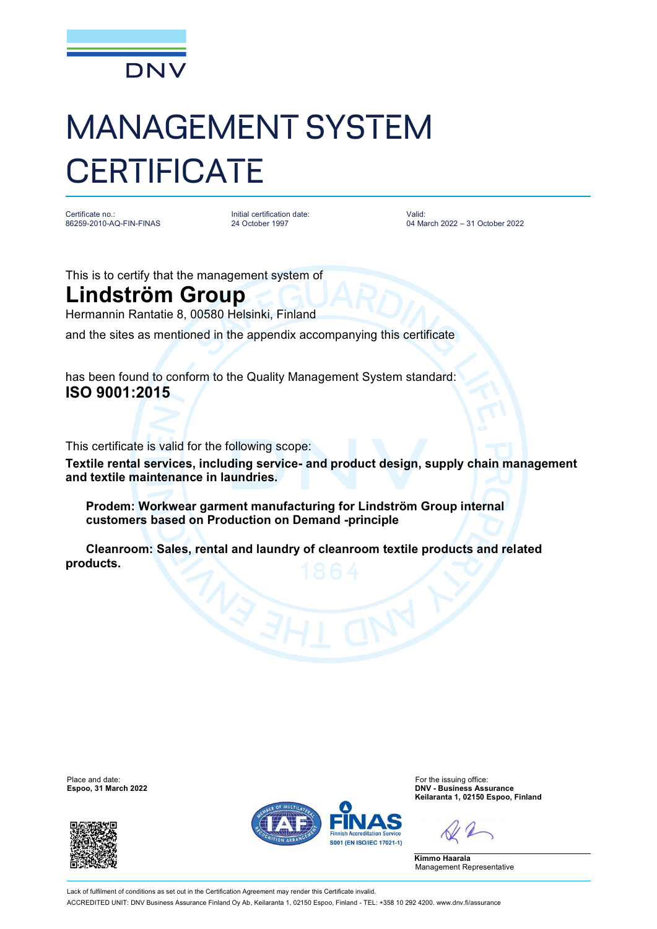

## MANAGEMENT SYSTEM **CERTIFICATE**

Certificate no.: 86259-2010-AQ-FIN-FINAS Initial certification date: 24 October 1997

Valid: 04 March 2022 – 31 October 2022

This is to certify that the management system of

## **Lindström Group**

Hermannin Rantatie 8, 00580 Helsinki, Finland

and the sites as mentioned in the appendix accompanying this certificate

has been found to conform to the Quality Management System standard: **ISO 9001:2015**

This certificate is valid for the following scope:

**Textile rental services, including service- and product design, supply chain management and textile maintenance in laundries.**

 **Prodem: Workwear garment manufacturing for Lindström Group internal customers based on Production on Demand -principle**

 **Cleanroom: Sales, rental and laundry of cleanroom textile products and related products.**

**Espoo, 31 March 2022** 





Place and date:<br>
For the issuing office:<br>
For the issuing office:<br> **Espoo.** 31 March 2022 **Keilaranta 1, 02150 Espoo, Finland**

**Kimmo Haarala** Management Representative

Lack of fulfilment of conditions as set out in the Certification Agreement may render this Certificate invalid ACCREDITED UNIT: DNV Business Assurance Finland Oy Ab, Keilaranta 1, 02150 Espoo, Finland - TEL: +358 10 292 4200. [www.dnv.fi/assurance](http://www.dnv.fi/assurance)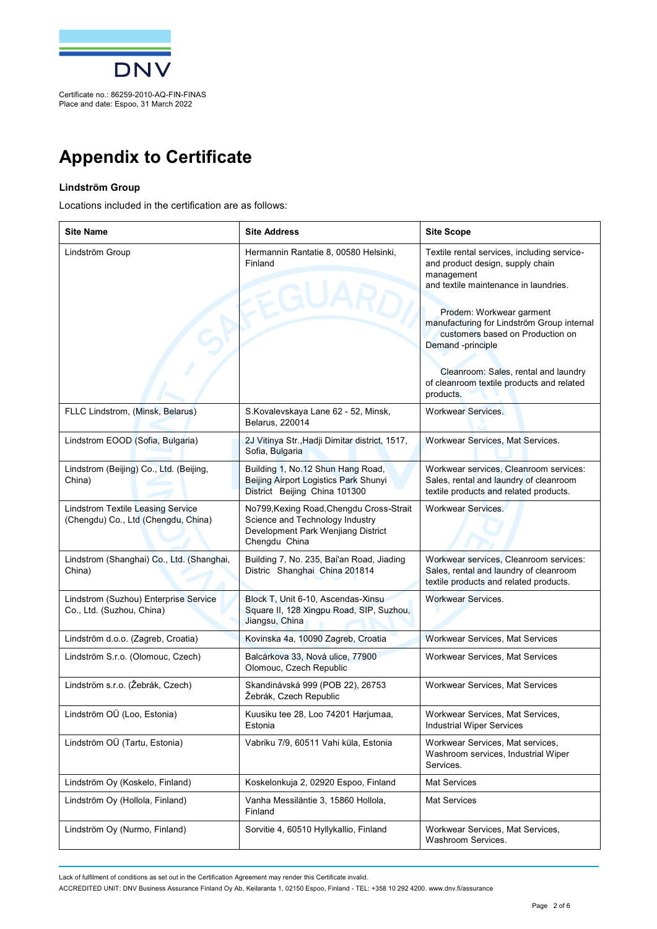

## **Appendix to Certificate**

## **Lindström Group**

Locations included in the certification are as follows:

| <b>Site Name</b>                                                                | <b>Site Address</b>                                                                                                                | <b>Site Scope</b>                                                                                                                                                                                                                                                                                                                                                           |
|---------------------------------------------------------------------------------|------------------------------------------------------------------------------------------------------------------------------------|-----------------------------------------------------------------------------------------------------------------------------------------------------------------------------------------------------------------------------------------------------------------------------------------------------------------------------------------------------------------------------|
| Lindström Group                                                                 | Hermannin Rantatie 8, 00580 Helsinki,<br>Finland<br><b>EGUAI</b>                                                                   | Textile rental services, including service-<br>and product design, supply chain<br>management<br>and textile maintenance in laundries.<br>Prodem: Workwear garment<br>manufacturing for Lindström Group internal<br>customers based on Production on<br>Demand -principle<br>Cleanroom: Sales, rental and laundry<br>of cleanroom textile products and related<br>products. |
| FLLC Lindstrom, (Minsk, Belarus)                                                | S.Kovalevskaya Lane 62 - 52, Minsk,<br>Belarus, 220014                                                                             | <b>Workwear Services.</b>                                                                                                                                                                                                                                                                                                                                                   |
| Lindstrom EOOD (Sofia, Bulgaria)                                                | 2J Vitinya Str., Hadji Dimitar district, 1517,<br>Sofia, Bulgaria                                                                  | Workwear Services, Mat Services.                                                                                                                                                                                                                                                                                                                                            |
| Lindstrom (Beijing) Co., Ltd. (Beijing,<br>China)                               | Building 1, No.12 Shun Hang Road,<br>Beijing Airport Logistics Park Shunyi<br>District Beijing China 101300                        | Workwear services, Cleanroom services:<br>Sales, rental and laundry of cleanroom<br>textile products and related products.                                                                                                                                                                                                                                                  |
| <b>Lindstrom Textile Leasing Service</b><br>(Chengdu) Co., Ltd (Chengdu, China) | No799, Kexing Road, Chengdu Cross-Strait<br>Science and Technology Industry<br>Development Park Wenjiang District<br>Chengdu China | <b>Workwear Services.</b>                                                                                                                                                                                                                                                                                                                                                   |
| Lindstrom (Shanghai) Co., Ltd. (Shanghai,<br>China)                             | Building 7, No. 235, Bai'an Road, Jiading<br>Distric Shanghai China 201814                                                         | Workwear services, Cleanroom services:<br>Sales, rental and laundry of cleanroom<br>textile products and related products.                                                                                                                                                                                                                                                  |
| Lindstrom (Suzhou) Enterprise Service<br>Co., Ltd. (Suzhou, China)              | Block T, Unit 6-10, Ascendas-Xinsu<br>Square II, 128 Xingpu Road, SIP, Suzhou,<br>Jiangsu, China                                   | <b>Workwear Services.</b>                                                                                                                                                                                                                                                                                                                                                   |
| Lindström d.o.o. (Zagreb, Croatia)                                              | Kovinska 4a, 10090 Zagreb, Croatia                                                                                                 | Workwear Services, Mat Services                                                                                                                                                                                                                                                                                                                                             |
| Lindström S.r.o. (Olomouc, Czech)                                               | Balcárkova 33, Nová ulice, 77900<br>Olomouc, Czech Republic                                                                        | Workwear Services, Mat Services                                                                                                                                                                                                                                                                                                                                             |
| Lindström s.r.o. (Žebrák, Czech)                                                | Skandinávská 999 (POB 22), 26753<br>Žebrák, Czech Republic                                                                         | Workwear Services, Mat Services                                                                                                                                                                                                                                                                                                                                             |
| Lindström OÜ (Loo, Estonia)                                                     | Kuusiku tee 28, Loo 74201 Harjumaa,<br>Estonia                                                                                     | Workwear Services, Mat Services,<br><b>Industrial Wiper Services</b>                                                                                                                                                                                                                                                                                                        |
| Lindström OÜ (Tartu, Estonia)                                                   | Vabriku 7/9, 60511 Vahi küla, Estonia                                                                                              | Workwear Services, Mat services,<br>Washroom services, Industrial Wiper<br>Services.                                                                                                                                                                                                                                                                                        |
| Lindström Oy (Koskelo, Finland)                                                 | Koskelonkuja 2, 02920 Espoo, Finland                                                                                               | <b>Mat Services</b>                                                                                                                                                                                                                                                                                                                                                         |
| Lindström Oy (Hollola, Finland)                                                 | Vanha Messiläntie 3, 15860 Hollola,<br>Finland                                                                                     | Mat Services                                                                                                                                                                                                                                                                                                                                                                |
| Lindström Oy (Nurmo, Finland)                                                   | Sorvitie 4, 60510 Hyllykallio, Finland                                                                                             | Workwear Services, Mat Services,<br>Washroom Services.                                                                                                                                                                                                                                                                                                                      |

Lack of fulfilment of conditions as set out in the Certification Agreement may render this Certificate invalid.

ACCREDITED UNIT: DNV Business Assurance Finland Oy Ab, Keilaranta 1, 02150 Espoo, Finland - TEL: +358 10 292 4200. [www.dnv.fi/assurance](http://www.dnv.fi/assurance)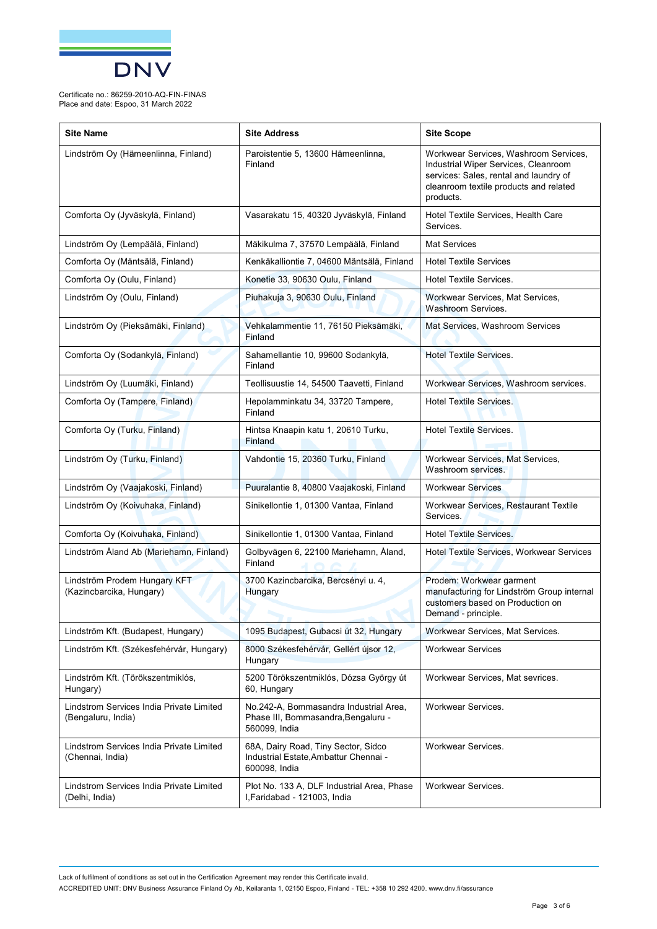

| <b>Site Name</b>                                               | <b>Site Address</b>                                                                            | <b>Site Scope</b>                                                                                                                                                              |
|----------------------------------------------------------------|------------------------------------------------------------------------------------------------|--------------------------------------------------------------------------------------------------------------------------------------------------------------------------------|
| Lindström Oy (Hämeenlinna, Finland)                            | Paroistentie 5, 13600 Hämeenlinna,<br>Finland                                                  | Workwear Services, Washroom Services,<br>Industrial Wiper Services, Cleanroom<br>services: Sales, rental and laundry of<br>cleanroom textile products and related<br>products. |
| Comforta Oy (Jyväskylä, Finland)                               | Vasarakatu 15, 40320 Jyväskylä, Finland                                                        | Hotel Textile Services, Health Care<br>Services.                                                                                                                               |
| Lindström Oy (Lempäälä, Finland)                               | Mäkikulma 7, 37570 Lempäälä, Finland                                                           | <b>Mat Services</b>                                                                                                                                                            |
| Comforta Oy (Mäntsälä, Finland)                                | Kenkäkalliontie 7, 04600 Mäntsälä, Finland                                                     | <b>Hotel Textile Services</b>                                                                                                                                                  |
| Comforta Oy (Oulu, Finland)                                    | Konetie 33, 90630 Oulu, Finland                                                                | <b>Hotel Textile Services.</b>                                                                                                                                                 |
| Lindström Oy (Oulu, Finland)                                   | Piuhakuja 3, 90630 Oulu, Finland                                                               | Workwear Services, Mat Services,<br>Washroom Services.                                                                                                                         |
| Lindström Oy (Pieksämäki, Finland)                             | Vehkalammentie 11, 76150 Pieksämäki,<br><b>Finland</b>                                         | Mat Services, Washroom Services                                                                                                                                                |
| Comforta Oy (Sodankylä, Finland)                               | Sahamellantie 10, 99600 Sodankylä,<br>Finland                                                  | <b>Hotel Textile Services.</b>                                                                                                                                                 |
| Lindström Oy (Luumäki, Finland)                                | Teollisuustie 14, 54500 Taavetti, Finland                                                      | Workwear Services, Washroom services.                                                                                                                                          |
| Comforta Oy (Tampere, Finland)                                 | Hepolamminkatu 34, 33720 Tampere,<br>Finland                                                   | <b>Hotel Textile Services.</b>                                                                                                                                                 |
| Comforta Oy (Turku, Finland)                                   | Hintsa Knaapin katu 1, 20610 Turku,<br>Finland                                                 | <b>Hotel Textile Services.</b>                                                                                                                                                 |
| Lindström Oy (Turku, Finland)                                  | Vahdontie 15, 20360 Turku, Finland                                                             | Workwear Services, Mat Services,<br>Washroom services.                                                                                                                         |
| Lindström Oy (Vaajakoski, Finland)                             | Puuralantie 8, 40800 Vaajakoski, Finland                                                       | <b>Workwear Services</b>                                                                                                                                                       |
| Lindström Oy (Koivuhaka, Finland)                              | Sinikellontie 1, 01300 Vantaa, Finland                                                         | Workwear Services, Restaurant Textile<br>Services.                                                                                                                             |
| Comforta Oy (Koivuhaka, Finland)                               | Sinikellontie 1, 01300 Vantaa, Finland                                                         | <b>Hotel Textile Services.</b>                                                                                                                                                 |
| Lindström Åland Ab (Mariehamn, Finland)                        | Golbyvägen 6, 22100 Mariehamn, Åland,<br>Finland                                               | Hotel Textile Services, Workwear Services                                                                                                                                      |
| Lindström Prodem Hungary KFT<br>(Kazincbarcika, Hungary)       | 3700 Kazincbarcika, Bercsényi u. 4,<br>Hungary                                                 | Prodem: Workwear garment<br>manufacturing for Lindström Group internal<br>customers based on Production on<br>Demand - principle.                                              |
| Lindström Kft. (Budapest, Hungary)                             | 1095 Budapest, Gubacsi út 32, Hungary                                                          | Workwear Services, Mat Services.                                                                                                                                               |
| Lindström Kft. (Székesfehérvár, Hungary)                       | 8000 Székesfehérvár, Gellért újsor 12,<br>Hungary                                              | <b>Workwear Services</b>                                                                                                                                                       |
| Lindström Kft. (Törökszentmiklós,<br>Hungary)                  | 5200 Törökszentmiklós, Dózsa György út<br>60, Hungary                                          | Workwear Services, Mat sevrices.                                                                                                                                               |
| Lindstrom Services India Private Limited<br>(Bengaluru, India) | No.242-A, Bommasandra Industrial Area,<br>Phase III, Bommasandra, Bengaluru -<br>560099, India | Workwear Services.                                                                                                                                                             |
| Lindstrom Services India Private Limited<br>(Chennai, India)   | 68A, Dairy Road, Tiny Sector, Sidco<br>Industrial Estate, Ambattur Chennai -<br>600098, India  | <b>Workwear Services.</b>                                                                                                                                                      |
| Lindstrom Services India Private Limited<br>(Delhi, India)     | Plot No. 133 A, DLF Industrial Area, Phase<br>I, Faridabad - 121003, India                     | Workwear Services.                                                                                                                                                             |

Lack of fulfilment of conditions as set out in the Certification Agreement may render this Certificate invalid. ACCREDITED UNIT: DNV Business Assurance Finland Oy Ab, Keilaranta 1, 02150 Espoo, Finland - TEL: +358 10 292 4200. [www.dnv.fi/assurance](http://www.dnv.fi/assurance)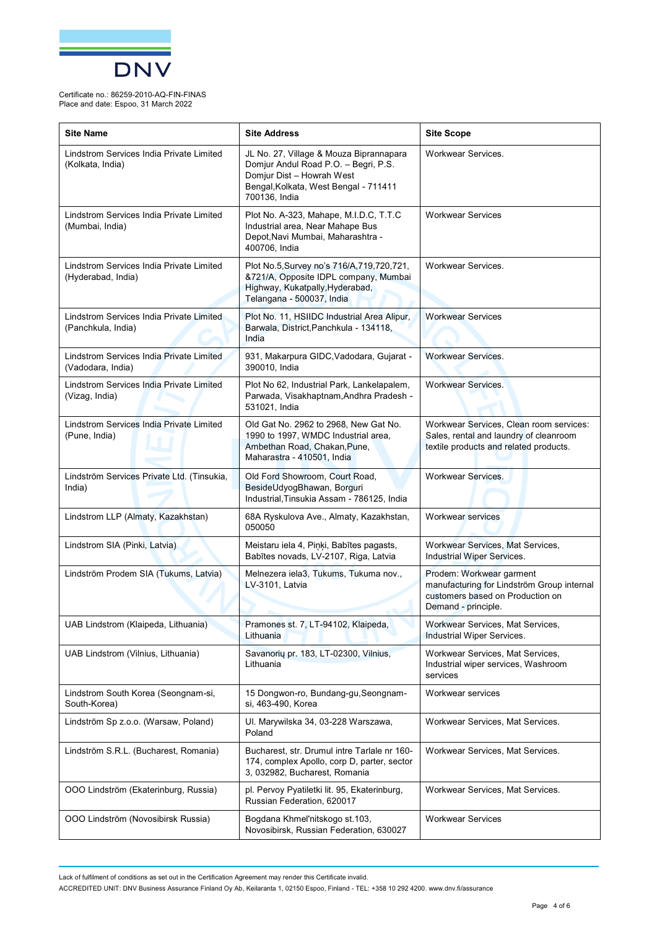

| <b>Site Name</b>                                               | <b>Site Address</b>                                                                                                                                                    | <b>Site Scope</b>                                                                                                                 |
|----------------------------------------------------------------|------------------------------------------------------------------------------------------------------------------------------------------------------------------------|-----------------------------------------------------------------------------------------------------------------------------------|
| Lindstrom Services India Private Limited<br>(Kolkata, India)   | JL No. 27, Village & Mouza Biprannapara<br>Domjur Andul Road P.O. - Begri, P.S.<br>Domjur Dist - Howrah West<br>Bengal, Kolkata, West Bengal - 711411<br>700136, India | Workwear Services.                                                                                                                |
| Lindstrom Services India Private Limited<br>(Mumbai, India)    | Plot No. A-323, Mahape, M.I.D.C, T.T.C<br>Industrial area, Near Mahape Bus<br>Depot, Navi Mumbai, Maharashtra -<br>400706, India                                       | <b>Workwear Services</b>                                                                                                          |
| Lindstrom Services India Private Limited<br>(Hyderabad, India) | Plot No.5, Survey no's 716/A, 719, 720, 721,<br>&721/A, Opposite IDPL company, Mumbai<br>Highway, Kukatpally, Hyderabad,<br>Telangana - 500037, India                  | Workwear Services.                                                                                                                |
| Lindstrom Services India Private Limited<br>(Panchkula, India) | Plot No. 11, HSIIDC Industrial Area Alipur,<br>Barwala, District, Panchkula - 134118,<br>India                                                                         | <b>Workwear Services</b>                                                                                                          |
| Lindstrom Services India Private Limited<br>(Vadodara, India)  | 931, Makarpura GIDC, Vadodara, Gujarat -<br>390010, India                                                                                                              | <b>Workwear Services.</b>                                                                                                         |
| Lindstrom Services India Private Limited<br>(Vizag, India)     | Plot No 62, Industrial Park, Lankelapalem,<br>Parwada, Visakhaptnam, Andhra Pradesh -<br>531021, India                                                                 | <b>Workwear Services.</b>                                                                                                         |
| Lindstrom Services India Private Limited<br>(Pune, India)      | Old Gat No. 2962 to 2968, New Gat No.<br>1990 to 1997, WMDC Industrial area,<br>Ambethan Road, Chakan, Pune,<br>Maharastra - 410501, India                             | Workwear Services, Clean room services:<br>Sales, rental and laundry of cleanroom<br>textile products and related products.       |
| Lindström Services Private Ltd. (Tinsukia,<br>India)           | Old Ford Showroom, Court Road,<br>BesideUdyogBhawan, Borguri<br>Industrial, Tinsukia Assam - 786125, India                                                             | Workwear Services.                                                                                                                |
| Lindstrom LLP (Almaty, Kazakhstan)                             | 68A Ryskulova Ave., Almaty, Kazakhstan,<br>050050                                                                                                                      | <b>Workwear services</b>                                                                                                          |
| Lindstrom SIA (Pinki, Latvia)                                  | Meistaru iela 4, Piņķi, Babītes pagasts,<br>Babītes novads, LV-2107, Riga, Latvia                                                                                      | Workwear Services, Mat Services,<br>Industrial Wiper Services.                                                                    |
| Lindström Prodem SIA (Tukums, Latvia)                          | Melnezera iela3, Tukums, Tukuma nov.,<br>LV-3101, Latvia                                                                                                               | Prodem: Workwear garment<br>manufacturing for Lindström Group internal<br>customers based on Production on<br>Demand - principle. |
| UAB Lindstrom (Klaipeda, Lithuania)                            | Pramones st. 7, LT-94102, Klaipeda,<br>Lithuania                                                                                                                       | Workwear Services, Mat Services,<br>Industrial Wiper Services.                                                                    |
| UAB Lindstrom (Vilnius, Lithuania)                             | Savanorių pr. 183, LT-02300, Vilnius,<br>Lithuania                                                                                                                     | Workwear Services, Mat Services,<br>Industrial wiper services, Washroom<br>services                                               |
| Lindstrom South Korea (Seongnam-si,<br>South-Korea)            | 15 Dongwon-ro, Bundang-gu, Seongnam-<br>si, 463-490, Korea                                                                                                             | Workwear services                                                                                                                 |
| Lindström Sp z.o.o. (Warsaw, Poland)                           | UI. Marywilska 34, 03-228 Warszawa,<br>Poland                                                                                                                          | Workwear Services, Mat Services.                                                                                                  |
| Lindström S.R.L. (Bucharest, Romania)                          | Bucharest, str. Drumul intre Tarlale nr 160-<br>174, complex Apollo, corp D, parter, sector<br>3, 032982, Bucharest, Romania                                           | Workwear Services, Mat Services.                                                                                                  |
| OOO Lindström (Ekaterinburg, Russia)                           | pl. Pervoy Pyatiletki lit. 95, Ekaterinburg,<br>Russian Federation, 620017                                                                                             | Workwear Services, Mat Services.                                                                                                  |
| OOO Lindström (Novosibirsk Russia)                             | Bogdana Khmel'nitskogo st.103,<br>Novosibirsk, Russian Federation, 630027                                                                                              | <b>Workwear Services</b>                                                                                                          |

Lack of fulfilment of conditions as set out in the Certification Agreement may render this Certificate invalid.

ACCREDITED UNIT: DNV Business Assurance Finland Oy Ab, Keilaranta 1, 02150 Espoo, Finland - TEL: +358 10 292 4200. [www.dnv.fi/assurance](http://www.dnv.fi/assurance)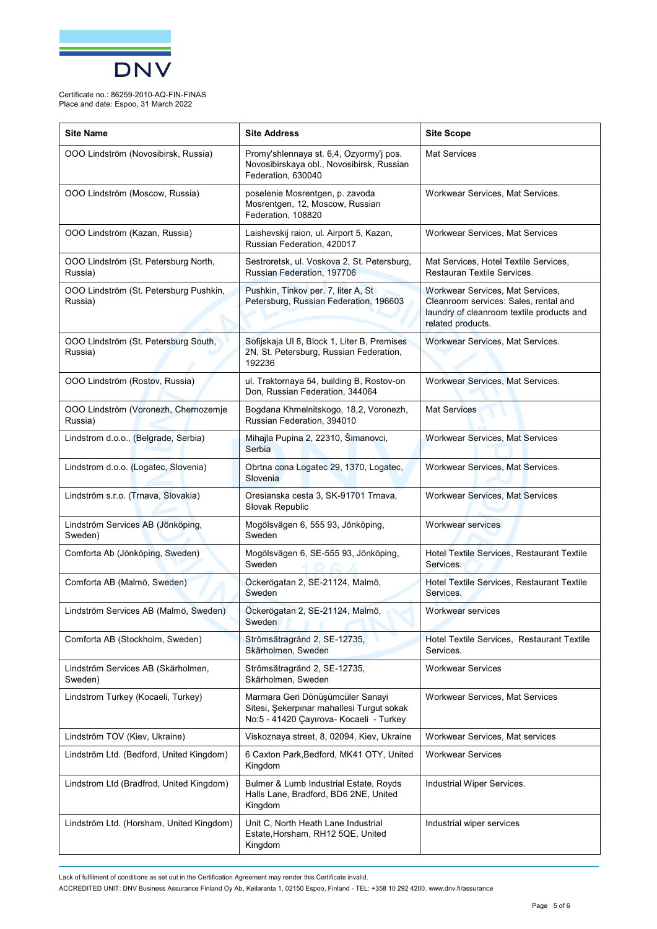

| <b>Site Name</b>                                  | <b>Site Address</b>                                                                                                      | <b>Site Scope</b>                                                                                                                           |
|---------------------------------------------------|--------------------------------------------------------------------------------------------------------------------------|---------------------------------------------------------------------------------------------------------------------------------------------|
| OOO Lindström (Novosibirsk, Russia)               | Promy'shlennaya st. 6,4, Ozyormy'j pos.<br>Novosibirskaya obl., Novosibirsk, Russian<br>Federation, 630040               | <b>Mat Services</b>                                                                                                                         |
| OOO Lindström (Moscow, Russia)                    | poselenie Mosrentgen, p. zavoda<br>Mosrentgen, 12, Moscow, Russian<br>Federation, 108820                                 | Workwear Services, Mat Services.                                                                                                            |
| OOO Lindström (Kazan, Russia)                     | Laishevskij raion, ul. Airport 5, Kazan,<br>Russian Federation, 420017                                                   | <b>Workwear Services, Mat Services</b>                                                                                                      |
| OOO Lindström (St. Petersburg North,<br>Russia)   | Sestroretsk, ul. Voskova 2, St. Petersburg,<br>Russian Federation, 197706                                                | Mat Services, Hotel Textile Services,<br>Restauran Textile Services.                                                                        |
| OOO Lindström (St. Petersburg Pushkin,<br>Russia) | Pushkin, Tinkov per. 7, liter A, St<br>Petersburg, Russian Federation, 196603                                            | Workwear Services, Mat Services,<br>Cleanroom services: Sales, rental and<br>laundry of cleanroom textile products and<br>related products. |
| OOO Lindström (St. Petersburg South,<br>Russia)   | Sofijskaja UI 8, Block 1, Liter B, Premises<br>2N, St. Petersburg, Russian Federation,<br>192236                         | Workwear Services, Mat Services.                                                                                                            |
| OOO Lindström (Rostov, Russia)                    | ul. Traktornaya 54, building B, Rostov-on<br>Don, Russian Federation, 344064                                             | Workwear Services, Mat Services.                                                                                                            |
| OOO Lindström (Voronezh, Chernozemje<br>Russia)   | Bogdana Khmelnitskogo, 18,2, Voronezh,<br>Russian Federation, 394010                                                     | <b>Mat Services</b>                                                                                                                         |
| Lindstrom d.o.o., (Belgrade, Serbia)              | Mihajla Pupina 2, 22310, Šimanovci,<br>Serbia                                                                            | Workwear Services, Mat Services                                                                                                             |
| Lindstrom d.o.o. (Logatec, Slovenia)              | Obrtna cona Logatec 29, 1370, Logatec,<br>Slovenia                                                                       | Workwear Services, Mat Services.                                                                                                            |
| Lindström s.r.o. (Trnava, Slovakia)               | Oresianska cesta 3, SK-91701 Trnava,<br>Slovak Republic                                                                  | <b>Workwear Services, Mat Services</b>                                                                                                      |
| Lindström Services AB (Jönköping,<br>Sweden)      | Mogölsvägen 6, 555 93, Jönköping,<br>Sweden                                                                              | <b>Workwear services</b>                                                                                                                    |
| Comforta Ab (Jönköping, Sweden)                   | Mogölsvägen 6, SE-555 93, Jönköping,<br>Sweden                                                                           | Hotel Textile Services, Restaurant Textile<br>Services.                                                                                     |
| Comforta AB (Malmö, Sweden)                       | Öckerögatan 2, SE-21124, Malmö,<br>Sweden                                                                                | Hotel Textile Services, Restaurant Textile<br>Services.                                                                                     |
| Lindström Services AB (Malmö, Sweden)             | Öckerögatan 2, SE-21124, Malmö,<br>Sweden                                                                                | <b>Workwear services</b>                                                                                                                    |
| Comforta AB (Stockholm, Sweden)                   | Strömsätragränd 2, SE-12735,<br>Skärholmen, Sweden                                                                       | Hotel Textile Services, Restaurant Textile<br>Services.                                                                                     |
| Lindström Services AB (Skärholmen,<br>Sweden)     | Strömsätragränd 2, SE-12735,<br>Skärholmen, Sweden                                                                       | <b>Workwear Services</b>                                                                                                                    |
| Lindstrom Turkey (Kocaeli, Turkey)                | Marmara Geri Dönüşümcüler Sanayi<br>Sitesi, Sekerpinar mahallesi Turqut sokak<br>No:5 - 41420 Çayırova- Kocaeli - Turkey | Workwear Services, Mat Services                                                                                                             |
| Lindström TOV (Kiev, Ukraine)                     | Viskoznaya street, 8, 02094, Kiev, Ukraine                                                                               | Workwear Services, Mat services                                                                                                             |
| Lindström Ltd. (Bedford, United Kingdom)          | 6 Caxton Park, Bedford, MK41 OTY, United<br>Kingdom                                                                      | <b>Workwear Services</b>                                                                                                                    |
| Lindstrom Ltd (Bradfrod, United Kingdom)          | Bulmer & Lumb Industrial Estate, Royds<br>Halls Lane, Bradford, BD6 2NE, United<br>Kingdom                               | Industrial Wiper Services.                                                                                                                  |
| Lindström Ltd. (Horsham, United Kingdom)          | Unit C, North Heath Lane Industrial<br>Estate, Horsham, RH12 5QE, United<br>Kingdom                                      | Industrial wiper services                                                                                                                   |

Lack of fulfilment of conditions as set out in the Certification Agreement may render this Certificate invalid.

ACCREDITED UNIT: DNV Business Assurance Finland Oy Ab, Keilaranta 1, 02150 Espoo, Finland - TEL: +358 10 292 4200. [www.dnv.fi/assurance](http://www.dnv.fi/assurance)